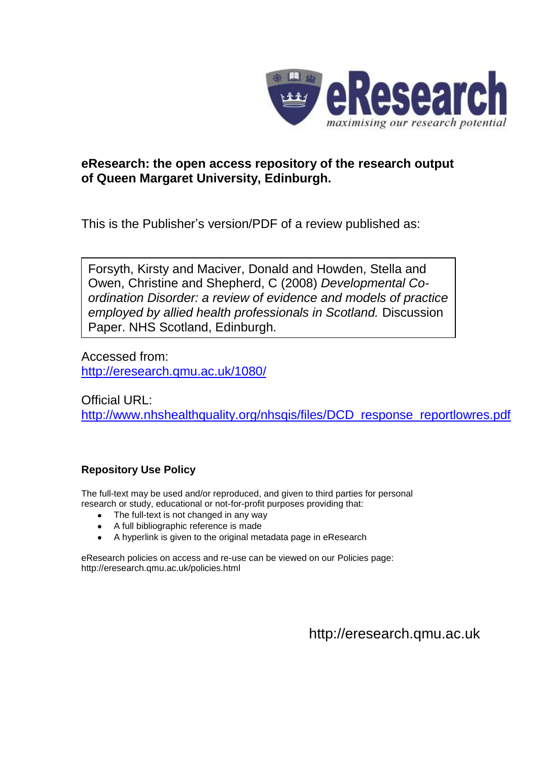

#### **eResearch: the open access repository of the research output of Queen Margaret University, Edinburgh.**

This is the Publisher's version/PDF of a review published as:

Forsyth, Kirsty and Maciver, Donald and Howden, Stella and Owen, Christine and Shepherd, C (2008) *Developmental Coordination Disorder: a review of evidence and models of practice employed by allied health professionals in Scotland.* Discussion Paper. NHS Scotland, Edinburgh.

Accessed from: <http://eresearch.qmu.ac.uk/1080/>

Official URL: [http://www.nhshealthquality.org/nhsqis/files/DCD\\_response\\_reportlowres.pdf](http://www.nhshealthquality.org/nhsqis/files/DCD_response_reportlowres.pdf)

#### **Repository Use Policy**

The full-text may be used and/or reproduced, and given to third parties for personal research or study, educational or not-for-profit purposes providing that:

- The full-text is not changed in any way
- A full bibliographic reference is made
- A hyperlink is given to the original metadata page in eResearch

eResearch policies on access and re-use can be viewed on our Policies page: <http://eresearch.qmu.ac.uk/policies.html>

[http://eresearch.qmu.ac.uk](http://eresearch.qmu.ac.uk/)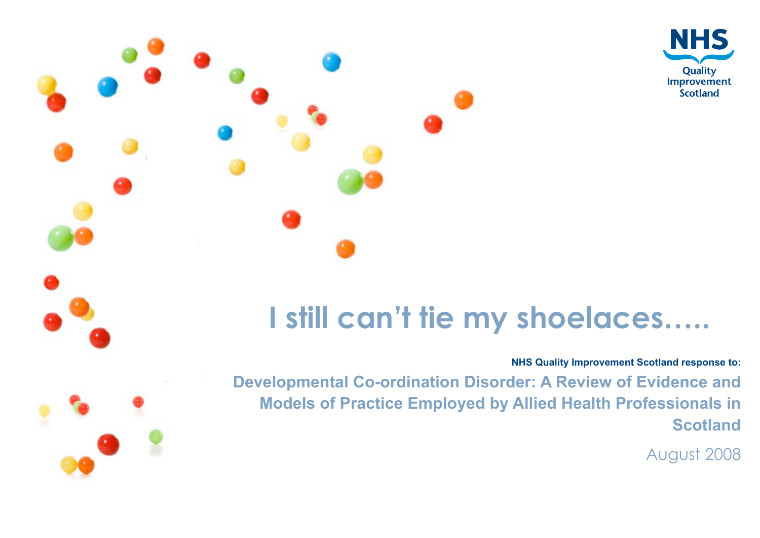



# **I still can't tie my shoelaces…..**

#### **NHS Quality Improvement Scotland response to:**

**Developmental Co-ordination Disorder: A Review of Evidence and Models of Practice Employed by Allied Health Professionals in Scotland**

August 2008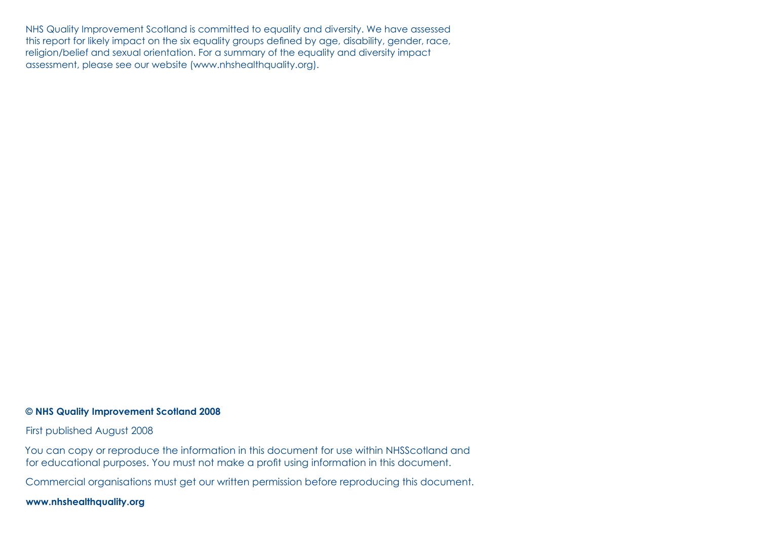NHS Quality Improvement Scotland is committed to equality and diversity. We have assessed this report for likely impact on the six equality groups defined by age, disability, gender, race, religion/belief and sexual orientation. For a summary of the equality and diversity impact assessment, please see our website (www.nhshealthquality.org).

#### **© NHS Quality Improvement Scotland 2008**

First published August 2008

You can copy or reproduce the information in this document for use within NHSScotland and for educational purposes. You must not make a profit using information in this document.

Commercial organisations must get our written permission before reproducing this document.

**www.nhshealthquality.org**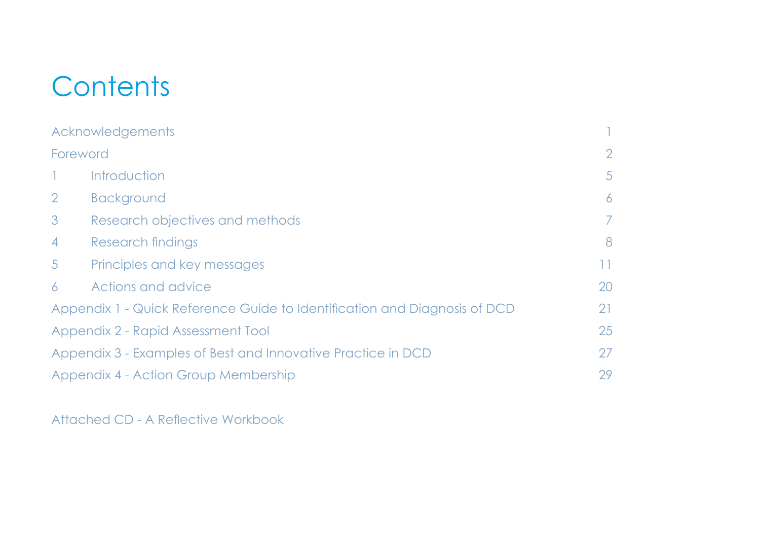# **Contents**

|                                                                           | Acknowledgements                |                |
|---------------------------------------------------------------------------|---------------------------------|----------------|
| Foreword                                                                  |                                 | $\overline{2}$ |
|                                                                           | Introduction                    | $\sqrt{5}$     |
| $\overline{2}$                                                            | <b>Background</b>               | 6              |
| 3 <sup>7</sup>                                                            | Research objectives and methods | $\mathcal{T}$  |
| $\overline{4}$                                                            | Research findings               | 8              |
| 5 <sup>5</sup>                                                            | Principles and key messages     | 11             |
| 6                                                                         | Actions and advice              | 20             |
| Appendix 1 - Quick Reference Guide to Identification and Diagnosis of DCD |                                 |                |
| Appendix 2 - Rapid Assessment Tool                                        |                                 | 25             |
| Appendix 3 - Examples of Best and Innovative Practice in DCD              |                                 | 27             |
| Appendix 4 - Action Group Membership                                      |                                 |                |

Attached CD - A Reflective Workbook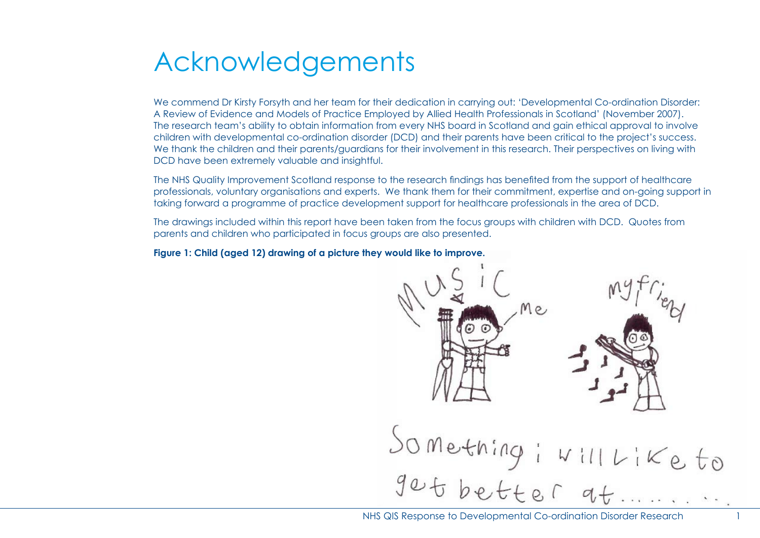## Acknowledgements

We commend Dr Kirsty Forsyth and her team for their dedication in carrying out: 'Developmental Co-ordination Disorder: A Review of Evidence and Models of Practice Employed by Allied Health Professionals in Scotland' (November 2007). The research team's ability to obtain information from every NHS board in Scotland and gain ethical approval to involve children with developmental co-ordination disorder (DCD) and their parents have been critical to the project's success. We thank the children and their parents/guardians for their involvement in this research. Their perspectives on living with DCD have been extremely valuable and insightful.

The NHS Quality Improvement Scotland response to the research findings has benefited from the support of healthcare professionals, voluntary organisations and experts. We thank them for their commitment, expertise and on-going support in taking forward a programme of practice development support for healthcare professionals in the area of DCD.

The drawings included within this report have been taken from the focus groups with children with DCD. Quotes from parents and children who participated in focus groups are also presented.

#### **Figure 1: Child (aged 12) drawing of a picture they would like to improve.**

 $M_{\odot}$  $S$ O Mething i Will Like to<br>Jet better at .......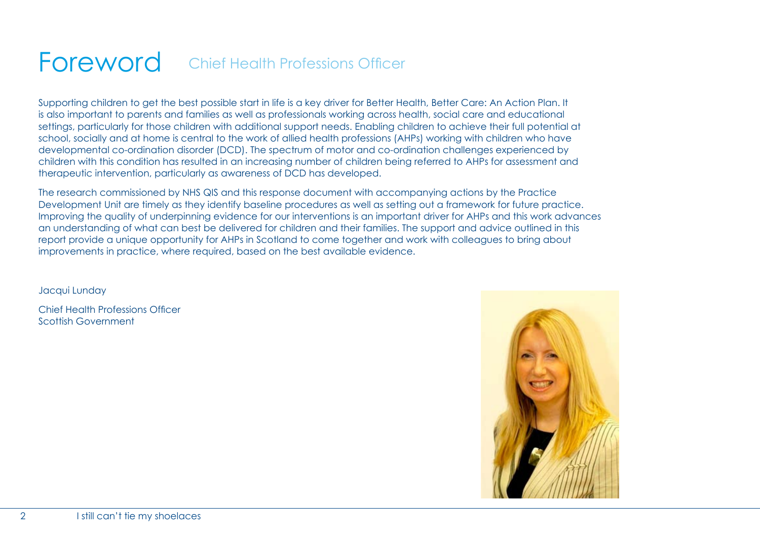#### Foreword Chief Health Professions Officer

Supporting children to get the best possible start in life is a key driver for Better Health, Better Care: An Action Plan. It is also important to parents and families as well as professionals working across health, social care and educational settings, particularly for those children with additional support needs. Enabling children to achieve their full potential at school, socially and at home is central to the work of allied health professions (AHPs) working with children who have developmental co-ordination disorder (DCD). The spectrum of motor and co-ordination challenges experienced by children with this condition has resulted in an increasing number of children being referred to AHPs for assessment and therapeutic intervention, particularly as awareness of DCD has developed.

The research commissioned by NHS QIS and this response document with accompanying actions by the Practice Development Unit are timely as they identify baseline procedures as well as setting out a framework for future practice. Improving the quality of underpinning evidence for our interventions is an important driver for AHPs and this work advances an understanding of what can best be delivered for children and their families. The support and advice outlined in this report provide a unique opportunity for AHPs in Scotland to come together and work with colleagues to bring about improvements in practice, where required, based on the best available evidence.

Jacqui Lunday

Chief Health Professions Officer Scottish Government

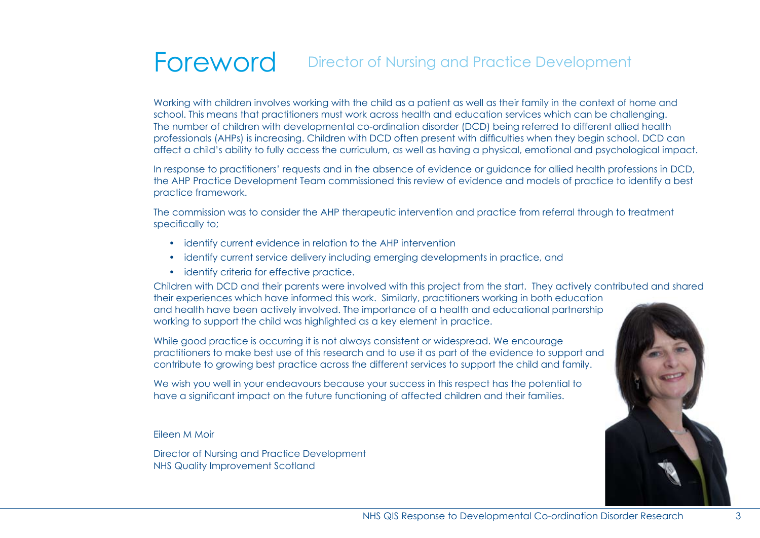#### Foreword Director of Nursing and Practice Development

Working with children involves working with the child as a patient as well as their family in the context of home and school. This means that practitioners must work across health and education services which can be challenging. The number of children with developmental co-ordination disorder (DCD) being referred to different allied health professionals (AHPs) is increasing. Children with DCD often present with difficulties when they begin school. DCD can affect a child's ability to fully access the curriculum, as well as having a physical, emotional and psychological impact.

In response to practitioners' requests and in the absence of evidence or guidance for allied health professions in DCD, the AHP Practice Development Team commissioned this review of evidence and models of practice to identify a best practice framework.

The commission was to consider the AHP therapeutic intervention and practice from referral through to treatment specifically to;

- identify current evidence in relation to the AHP intervention
- identify current service delivery including emerging developments in practice, and
- identify criteria for effective practice.

Children with DCD and their parents were involved with this project from the start. They actively contributed and shared their experiences which have informed this work. Similarly, practitioners working in both education and health have been actively involved. The importance of a health and educational partnership working to support the child was highlighted as a key element in practice.

While good practice is occurring it is not always consistent or widespread. We encourage practitioners to make best use of this research and to use it as part of the evidence to support and contribute to growing best practice across the different services to support the child and family.

We wish you well in your endeavours because your success in this respect has the potential to have a significant impact on the future functioning of affected children and their families.

#### Eileen M Moir

Director of Nursing and Practice Development NHS Quality Improvement Scotland

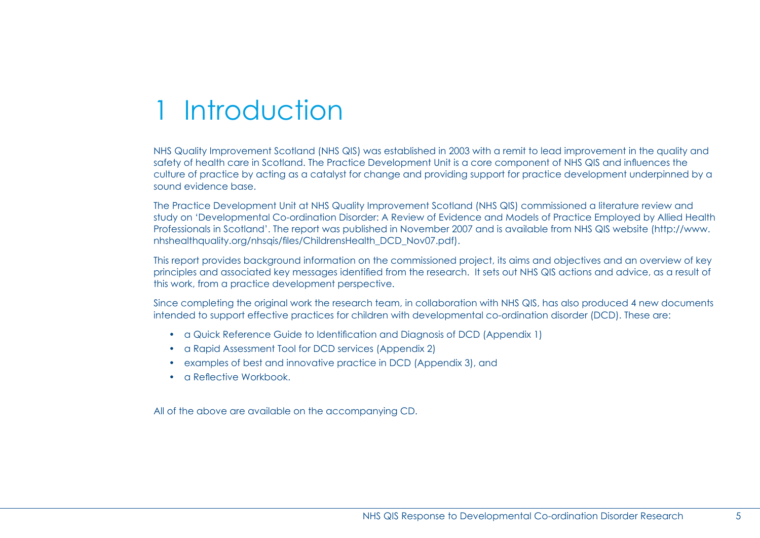## 1 Introduction

NHS Quality Improvement Scotland (NHS QIS) was established in 2003 with a remit to lead improvement in the quality and safety of health care in Scotland. The Practice Development Unit is a core component of NHS QIS and influences the culture of practice by acting as a catalyst for change and providing support for practice development underpinned by a sound evidence base.

The Practice Development Unit at NHS Quality Improvement Scotland (NHS QIS) commissioned a literature review and study on 'Developmental Co-ordination Disorder: A Review of Evidence and Models of Practice Employed by Allied Health Professionals in Scotland'. The report was published in November 2007 and is available from NHS QIS website (http://www. nhshealthquality.org/nhsqis/files/ChildrensHealth\_DCD\_Nov07.pdf).

This report provides background information on the commissioned project, its aims and objectives and an overview of key principles and associated key messages identified from the research. It sets out NHS QIS actions and advice, as a result of this work, from a practice development perspective.

Since completing the original work the research team, in collaboration with NHS QIS, has also produced 4 new documents intended to support effective practices for children with developmental co-ordination disorder (DCD). These are:

- a Quick Reference Guide to Identification and Diagnosis of DCD (Appendix 1)
- a Rapid Assessment Tool for DCD services (Appendix 2)
- examples of best and innovative practice in DCD (Appendix 3), and
- a Reflective Workbook.

All of the above are available on the accompanying CD.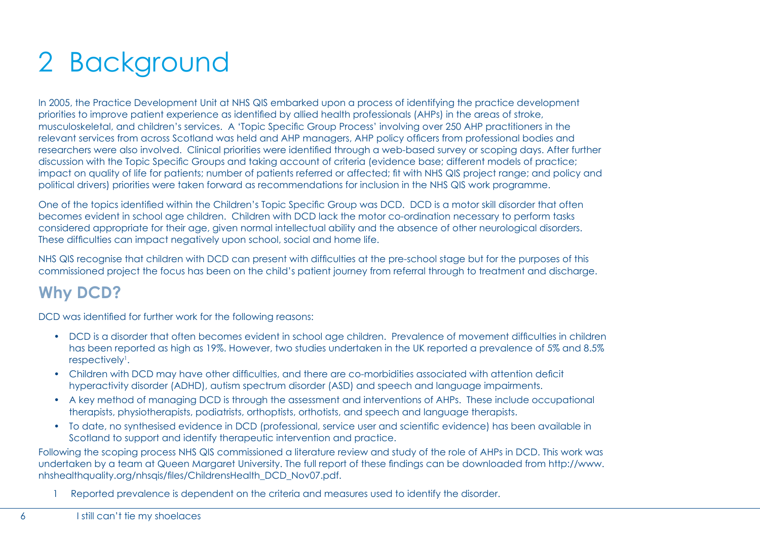# 2 Background

In 2005, the Practice Development Unit at NHS QIS embarked upon a process of identifying the practice development priorities to improve patient experience as identified by allied health professionals (AHPs) in the areas of stroke, musculoskeletal, and children's services. A 'Topic Specific Group Process' involving over 250 AHP practitioners in the relevant services from across Scotland was held and AHP managers, AHP policy officers from professional bodies and researchers were also involved. Clinical priorities were identified through a web-based survey or scoping days. After further discussion with the Topic Specific Groups and taking account of criteria (evidence base; different models of practice; impact on quality of life for patients; number of patients referred or affected; fit with NHS QIS project range; and policy and political drivers) priorities were taken forward as recommendations for inclusion in the NHS QIS work programme.

One of the topics identified within the Children's Topic Specific Group was DCD. DCD is a motor skill disorder that often becomes evident in school age children. Children with DCD lack the motor co-ordination necessary to perform tasks considered appropriate for their age, given normal intellectual ability and the absence of other neurological disorders. These difficulties can impact negatively upon school, social and home life.

NHS QIS recognise that children with DCD can present with difficulties at the pre-school stage but for the purposes of this commissioned project the focus has been on the child's patient journey from referral through to treatment and discharge.

## **Why DCD?**

DCD was identified for further work for the following reasons:

- DCD is a disorder that often becomes evident in school age children. Prevalence of movement difficulties in children has been reported as high as 19%. However, two studies undertaken in the UK reported a prevalence of 5% and 8.5% respectively<sup>1</sup>.
- Children with DCD may have other difficulties, and there are co-morbidities associated with attention deficit hyperactivity disorder (ADHD), autism spectrum disorder (ASD) and speech and language impairments.
- A key method of managing DCD is through the assessment and interventions of AHPs. These include occupational therapists, physiotherapists, podiatrists, orthoptists, orthotists, and speech and language therapists.
- To date, no synthesised evidence in DCD (professional, service user and scientific evidence) has been available in Scotland to support and identify therapeutic intervention and practice.

Following the scoping process NHS QIS commissioned a literature review and study of the role of AHPs in DCD. This work was undertaken by a team at Queen Margaret University. The full report of these findings can be downloaded from http://www. nhshealthquality.org/nhsqis/files/ChildrensHealth\_DCD\_Nov07.pdf.

1 Reported prevalence is dependent on the criteria and measures used to identify the disorder.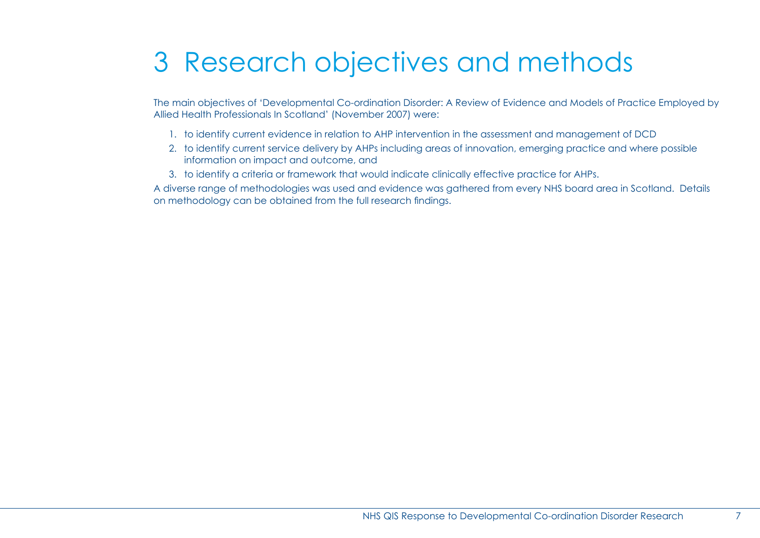# 3 Research objectives and methods

The main objectives of 'Developmental Co-ordination Disorder: A Review of Evidence and Models of Practice Employed by Allied Health Professionals In Scotland' (November 2007) were:

- 1. to identify current evidence in relation to AHP intervention in the assessment and management of DCD
- 2. to identify current service delivery by AHPs including areas of innovation, emerging practice and where possible information on impact and outcome, and
- 3. to identify a criteria or framework that would indicate clinically effective practice for AHPs.

A diverse range of methodologies was used and evidence was gathered from every NHS board area in Scotland. Details on methodology can be obtained from the full research findings.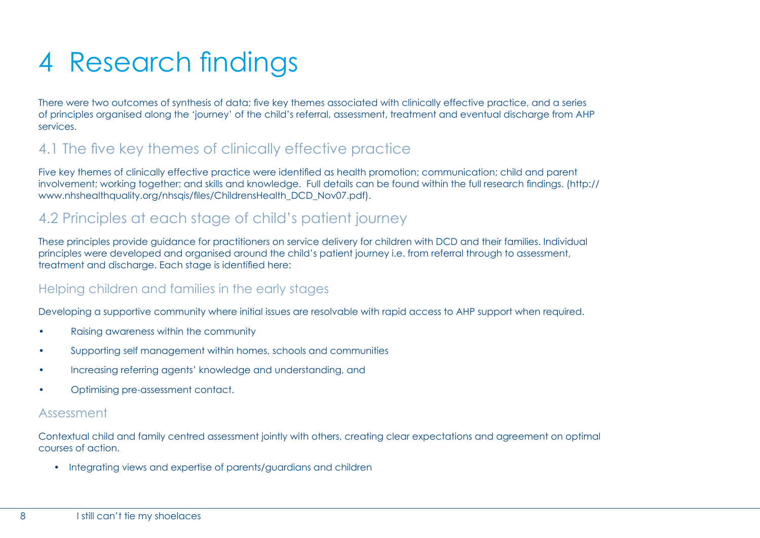# 4 Research findings

There were two outcomes of synthesis of data; five key themes associated with clinically effective practice, and a series of principles organised along the 'journey' of the child's referral, assessment, treatment and eventual discharge from AHP services.

### 4.1 The five key themes of clinically effective practice

Five key themes of clinically effective practice were identified as health promotion; communication; child and parent involvement; working together; and skills and knowledge. Full details can be found within the full research findings. (http:// www.nhshealthquality.org/nhsqis/files/ChildrensHealth\_DCD\_Nov07.pdf).

### 4.2 Principles at each stage of child's patient journey

These principles provide guidance for practitioners on service delivery for children with DCD and their families. Individual principles were developed and organised around the child's patient journey i.e. from referral through to assessment, treatment and discharge. Each stage is identified here:

### Helping children and families in the early stages

Developing a supportive community where initial issues are resolvable with rapid access to AHP support when required.

- Raising awareness within the community
- Supporting self management within homes, schools and communities
- Increasing referring agents' knowledge and understanding, and
- Optimising pre-assessment contact.

#### Assessment

Contextual child and family centred assessment jointly with others, creating clear expectations and agreement on optimal courses of action.

• Integrating views and expertise of parents/guardians and children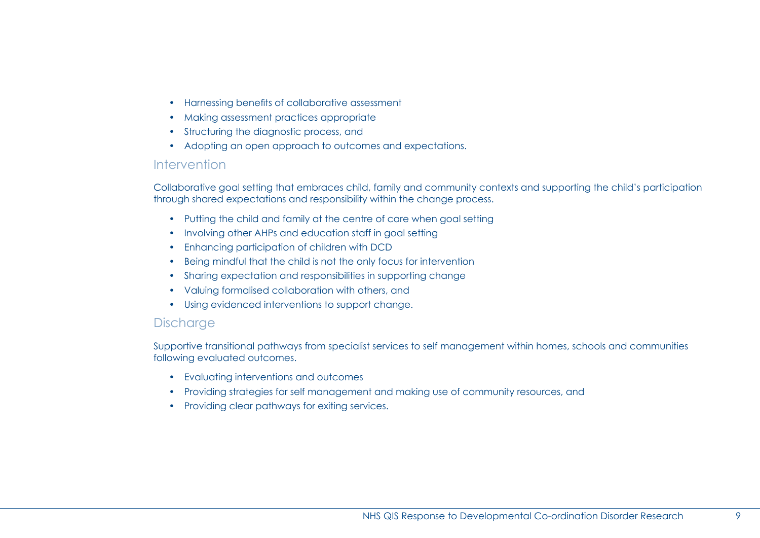- Harnessing benefits of collaborative assessment
- Making assessment practices appropriate
- Structuring the diagnostic process, and
- Adopting an open approach to outcomes and expectations.

#### Intervention

Collaborative goal setting that embraces child, family and community contexts and supporting the child's participation through shared expectations and responsibility within the change process.

- Putting the child and family at the centre of care when goal setting
- Involving other AHPs and education staff in goal setting
- Enhancing participation of children with DCD
- Being mindful that the child is not the only focus for intervention
- Sharing expectation and responsibilities in supporting change
- Valuing formalised collaboration with others, and
- Using evidenced interventions to support change.

#### **Discharge**

Supportive transitional pathways from specialist services to self management within homes, schools and communities following evaluated outcomes.

- Evaluating interventions and outcomes
- Providing strategies for self management and making use of community resources, and
- Providing clear pathways for exiting services.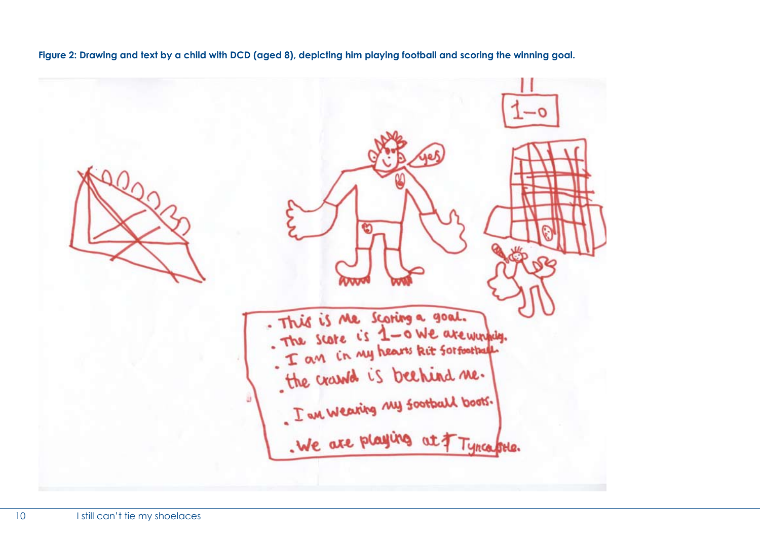**Figure 2: Drawing and text by a child with DCD (aged 8), depicting him playing football and scoring the winning goal.** 

This is the scoring a goal. The score is 1-0 We are winning.<br>I am in my hears kit forfoother T an in my hears het soldentiff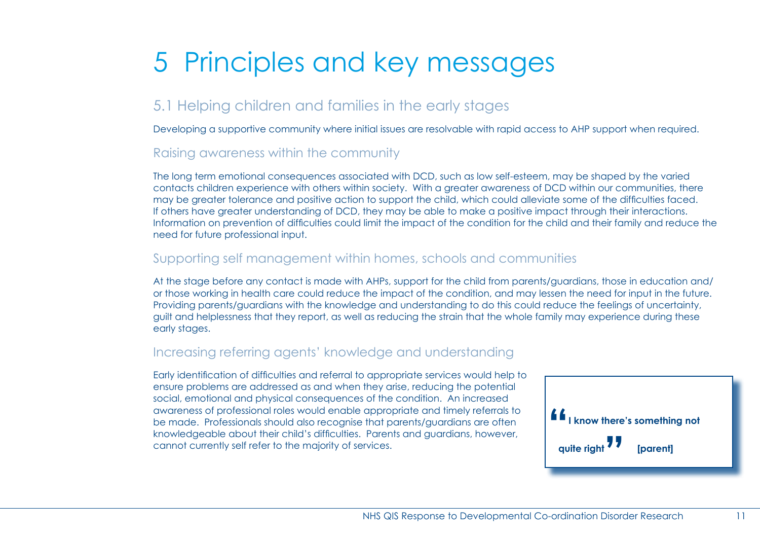# 5 Principles and key messages

### 5.1 Helping children and families in the early stages

Developing a supportive community where initial issues are resolvable with rapid access to AHP support when required.

### Raising awareness within the community

The long term emotional consequences associated with DCD, such as low self-esteem, may be shaped by the varied contacts children experience with others within society. With a greater awareness of DCD within our communities, there may be greater tolerance and positive action to support the child, which could alleviate some of the difficulties faced. If others have greater understanding of DCD, they may be able to make a positive impact through their interactions. Information on prevention of difficulties could limit the impact of the condition for the child and their family and reduce the need for future professional input.

#### Supporting self management within homes, schools and communities

At the stage before any contact is made with AHPs, support for the child from parents/guardians, those in education and/ or those working in health care could reduce the impact of the condition, and may lessen the need for input in the future. Providing parents/guardians with the knowledge and understanding to do this could reduce the feelings of uncertainty, guilt and helplessness that they report, as well as reducing the strain that the whole family may experience during these early stages.

### Increasing referring agents' knowledge and understanding

Early identification of difficulties and referral to appropriate services would help to ensure problems are addressed as and when they arise, reducing the potential social, emotional and physical consequences of the condition. An increased awareness of professional roles would enable appropriate and timely referrals to be made. Professionals should also recognise that parents/guardians are often knowledgeable about their child's difficulties. Parents and guardians, however, cannot currently self refer to the majority of services.

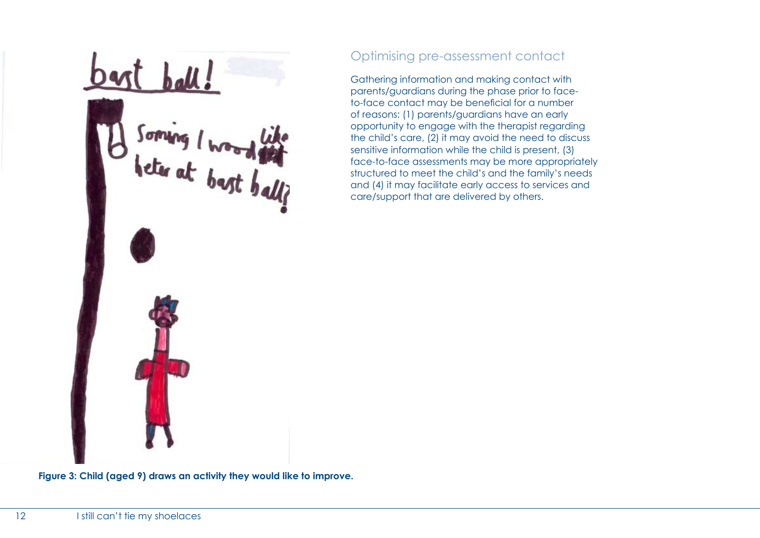bast ball! Soming I wood the

### Optimising pre-assessment contact

Gathering information and making contact with parents/guardians during the phase prior to faceto-face contact may be beneficial for a number of reasons: (1) parents/guardians have an early opportunity to engage with the therapist regarding the child's care, (2) it may avoid the need to discuss sensitive information while the child is present, (3) face-to-face assessments may be more appropriately structured to meet the child's and the family's needs and (4) it may facilitate early access to services and care/support that are delivered by others.

**Figure 3: Child (aged 9) draws an activity they would like to improve.**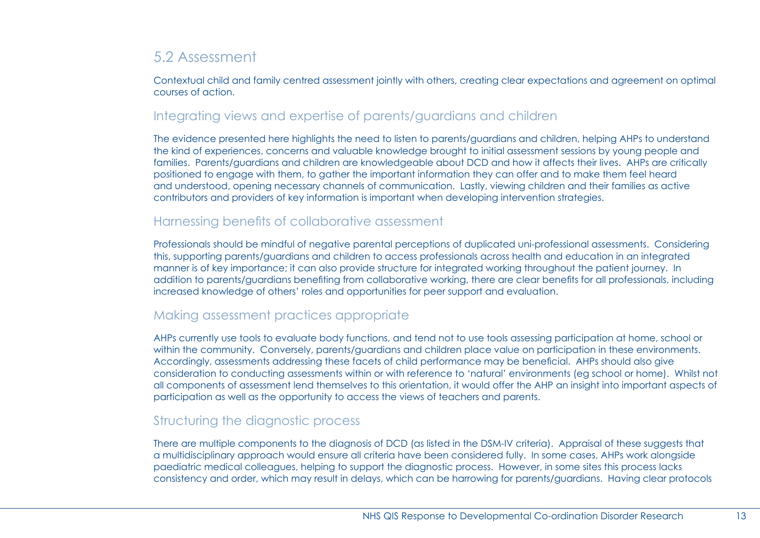### 5.2 Assessment

Contextual child and family centred assessment jointly with others, creating clear expectations and agreement on optimal courses of action.

#### Integrating views and expertise of parents/guardians and children

The evidence presented here highlights the need to listen to parents/guardians and children, helping AHPs to understand the kind of experiences, concerns and valuable knowledge brought to initial assessment sessions by young people and families. Parents/guardians and children are knowledgeable about DCD and how it affects their lives. AHPs are critically positioned to engage with them, to gather the important information they can offer and to make them feel heard and understood, opening necessary channels of communication. Lastly, viewing children and their families as active contributors and providers of key information is important when developing intervention strategies.

#### Harnessing benefits of collaborative assessment

Professionals should be mindful of negative parental perceptions of duplicated uni-professional assessments. Considering this, supporting parents/guardians and children to access professionals across health and education in an integrated manner is of key importance; it can also provide structure for integrated working throughout the patient journey. In addition to parents/guardians benefiting from collaborative working, there are clear benefits for all professionals, including increased knowledge of others' roles and opportunities for peer support and evaluation.

### Making assessment practices appropriate

AHPs currently use tools to evaluate body functions, and tend not to use tools assessing participation at home, school or within the community. Conversely, parents/guardians and children place value on participation in these environments. Accordingly, assessments addressing these facets of child performance may be beneficial. AHPs should also give consideration to conducting assessments within or with reference to 'natural' environments (eg school or home). Whilst not all components of assessment lend themselves to this orientation, it would offer the AHP an insight into important aspects of participation as well as the opportunity to access the views of teachers and parents.

### Structuring the diagnostic process

There are multiple components to the diagnosis of DCD (as listed in the DSM-IV criteria). Appraisal of these suggests that a multidisciplinary approach would ensure all criteria have been considered fully. In some cases, AHPs work alongside paediatric medical colleagues, helping to support the diagnostic process. However, in some sites this process lacks consistency and order, which may result in delays, which can be harrowing for parents/guardians. Having clear protocols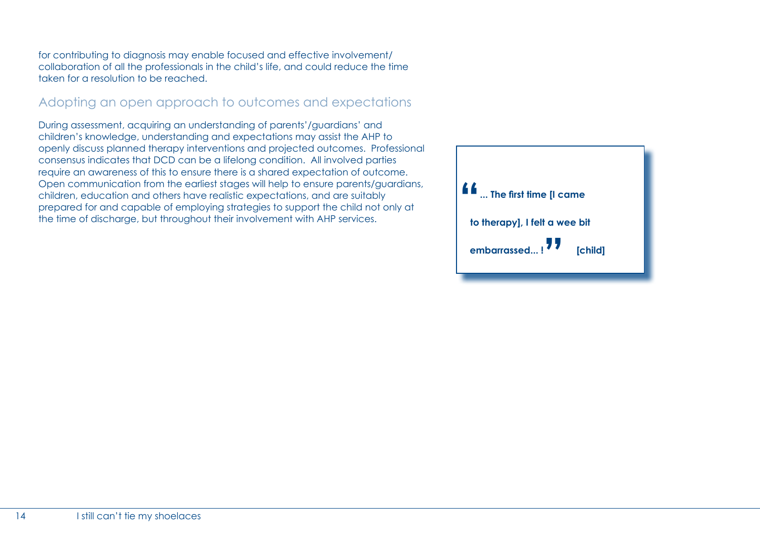for contributing to diagnosis may enable focused and effective involvement/ collaboration of all the professionals in the child's life, and could reduce the time taken for a resolution to be reached.

### Adopting an open approach to outcomes and expectations

During assessment, acquiring an understanding of parents'/guardians' and children's knowledge, understanding and expectations may assist the AHP to openly discuss planned therapy interventions and projected outcomes. Professional consensus indicates that DCD can be a lifelong condition. All involved parties require an awareness of this to ensure there is a shared expectation of outcome. Open communication from the earliest stages will help to ensure parents/guardians, children, education and others have realistic expectations, and are suitably prepared for and capable of employing strategies to support the child not only at the time of discharge, but throughout their involvement with AHP services.

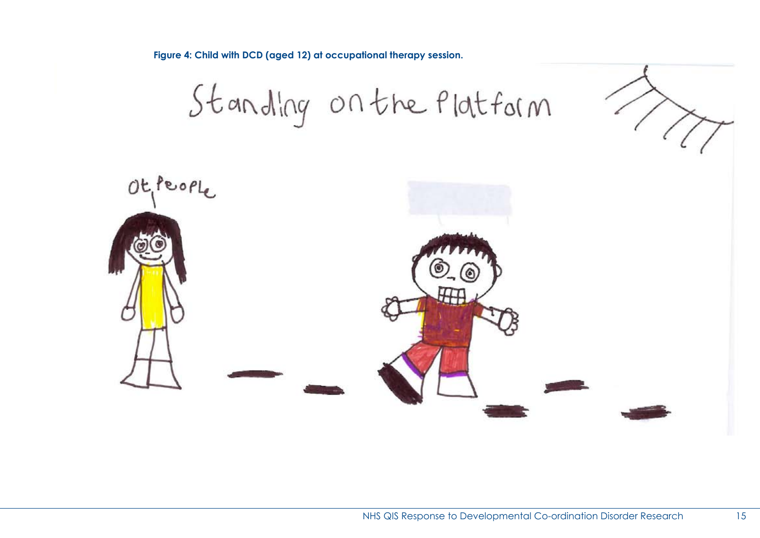**Figure 4: Child with DCD (aged 12) at occupational therapy session.**

Standing on the Platform

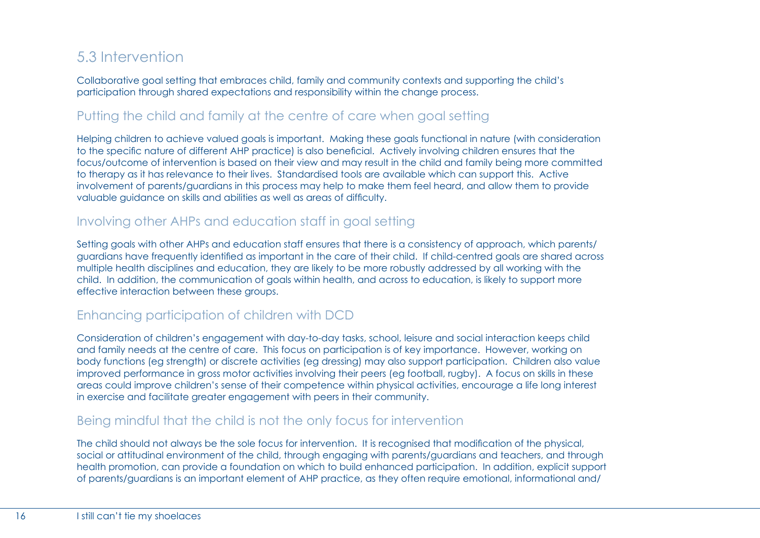### 5.3 Intervention

Collaborative goal setting that embraces child, family and community contexts and supporting the child's participation through shared expectations and responsibility within the change process.

### Putting the child and family at the centre of care when goal setting

Helping children to achieve valued goals is important. Making these goals functional in nature (with consideration to the specific nature of different AHP practice) is also beneficial. Actively involving children ensures that the focus/outcome of intervention is based on their view and may result in the child and family being more committed to therapy as it has relevance to their lives. Standardised tools are available which can support this. Active involvement of parents/guardians in this process may help to make them feel heard, and allow them to provide valuable guidance on skills and abilities as well as areas of difficulty.

### Involving other AHPs and education staff in goal setting

Setting goals with other AHPs and education staff ensures that there is a consistency of approach, which parents/ guardians have frequently identified as important in the care of their child. If child-centred goals are shared across multiple health disciplines and education, they are likely to be more robustly addressed by all working with the child. In addition, the communication of goals within health, and across to education, is likely to support more effective interaction between these groups.

### Enhancing participation of children with DCD

Consideration of children's engagement with day-to-day tasks, school, leisure and social interaction keeps child and family needs at the centre of care. This focus on participation is of key importance. However, working on body functions (eg strength) or discrete activities (eg dressing) may also support participation. Children also value improved performance in gross motor activities involving their peers (eg football, rugby). A focus on skills in these areas could improve children's sense of their competence within physical activities, encourage a life long interest in exercise and facilitate greater engagement with peers in their community.

### Being mindful that the child is not the only focus for intervention

The child should not always be the sole focus for intervention. It is recognised that modification of the physical, social or attitudinal environment of the child, through engaging with parents/guardians and teachers, and through health promotion, can provide a foundation on which to build enhanced participation. In addition, explicit support of parents/guardians is an important element of AHP practice, as they often require emotional, informational and/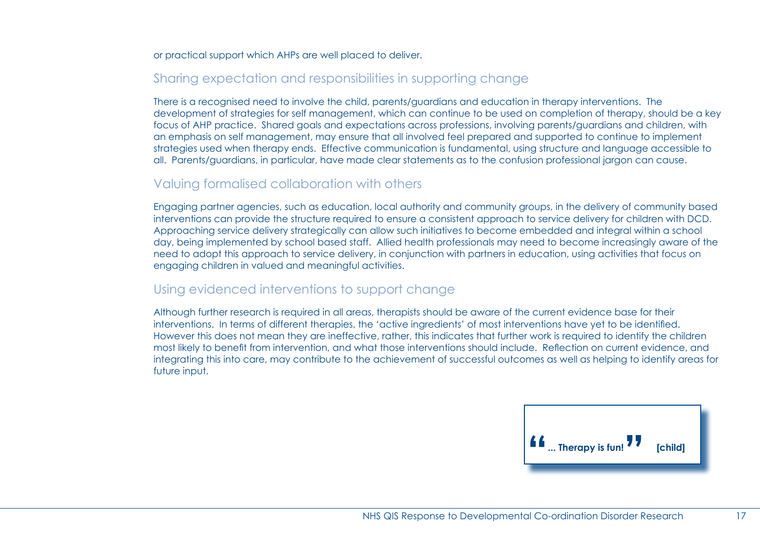or practical support which AHPs are well placed to deliver.

### Sharing expectation and responsibilities in supporting change

There is a recognised need to involve the child, parents/guardians and education in therapy interventions. The development of strategies for self management, which can continue to be used on completion of therapy, should be a key focus of AHP practice. Shared goals and expectations across professions, involving parents/guardians and children, with an emphasis on self management, may ensure that all involved feel prepared and supported to continue to implement strategies used when therapy ends. Effective communication is fundamental, using structure and language accessible to all. Parents/guardians, in particular, have made clear statements as to the confusion professional jargon can cause.

#### Valuing formalised collaboration with others

Engaging partner agencies, such as education, local authority and community groups, in the delivery of community based interventions can provide the structure required to ensure a consistent approach to service delivery for children with DCD. Approaching service delivery strategically can allow such initiatives to become embedded and integral within a school day, being implemented by school based staff. Allied health professionals may need to become increasingly aware of the need to adopt this approach to service delivery, in conjunction with partners in education, using activities that focus on engaging children in valued and meaningful activities.

#### Using evidenced interventions to support change

Although further research is required in all areas, therapists should be aware of the current evidence base for their interventions. In terms of different therapies, the 'active ingredients' of most interventions have yet to be identified. However this does not mean they are ineffective, rather, this indicates that further work is required to identify the children most likely to benefit from intervention, and what those interventions should include. Reflection on current evidence, and integrating this into care, may contribute to the achievement of successful outcomes as well as helping to identify areas for future input.

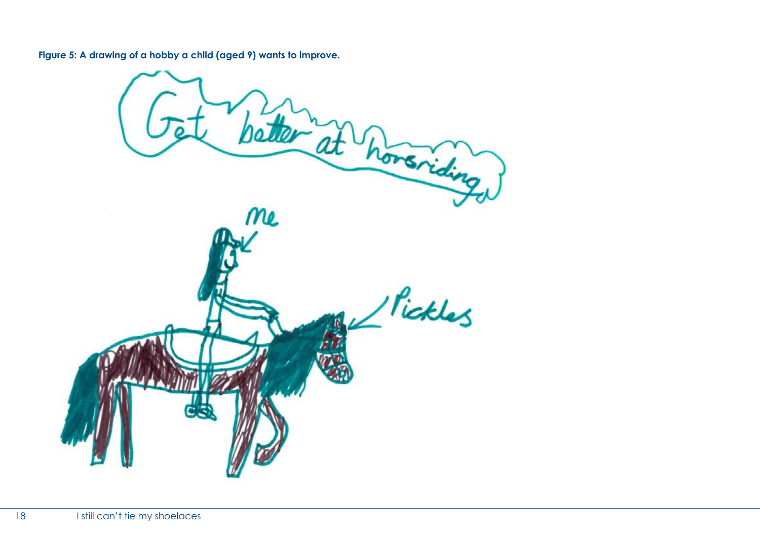**Figure 5: A drawing of a hobby a child (aged 9) wants to improve.**

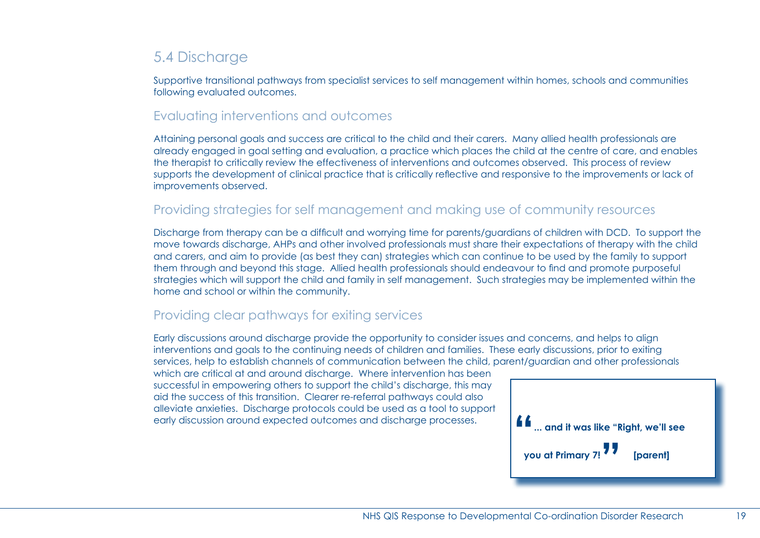### 5.4 Discharge

Supportive transitional pathways from specialist services to self management within homes, schools and communities following evaluated outcomes.

#### Evaluating interventions and outcomes

Attaining personal goals and success are critical to the child and their carers. Many allied health professionals are already engaged in goal setting and evaluation, a practice which places the child at the centre of care, and enables the therapist to critically review the effectiveness of interventions and outcomes observed. This process of review supports the development of clinical practice that is critically reflective and responsive to the improvements or lack of improvements observed.

#### Providing strategies for self management and making use of community resources

Discharge from therapy can be a difficult and worrying time for parents/guardians of children with DCD. To support the move towards discharge, AHPs and other involved professionals must share their expectations of therapy with the child and carers, and aim to provide (as best they can) strategies which can continue to be used by the family to support them through and beyond this stage. Allied health professionals should endeavour to find and promote purposeful strategies which will support the child and family in self management. Such strategies may be implemented within the home and school or within the community.

### Providing clear pathways for exiting services

Early discussions around discharge provide the opportunity to consider issues and concerns, and helps to align interventions and goals to the continuing needs of children and families. These early discussions, prior to exiting services, help to establish channels of communication between the child, parent/guardian and other professionals

which are critical at and around discharge. Where intervention has been successful in empowering others to support the child's discharge, this may aid the success of this transition. Clearer re-referral pathways could also alleviate anxieties. Discharge protocols could be used as a tool to support

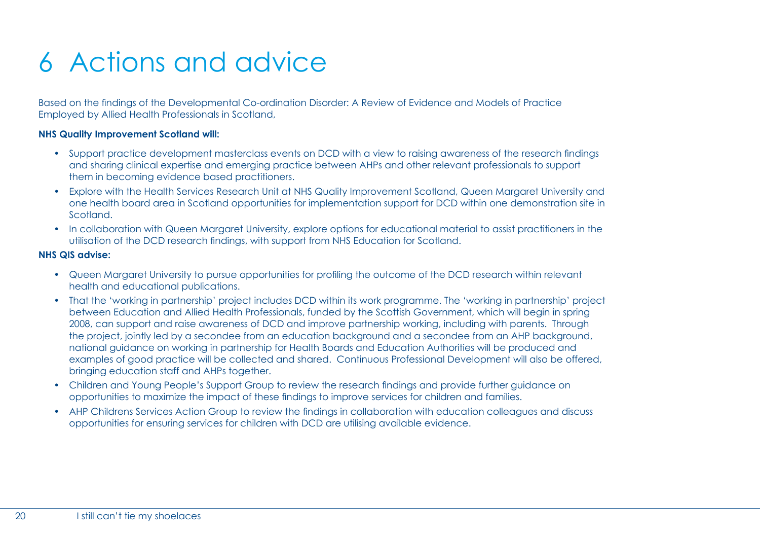# 6 Actions and advice

Based on the findings of the Developmental Co-ordination Disorder: A Review of Evidence and Models of Practice Employed by Allied Health Professionals in Scotland,

#### **NHS Quality Improvement Scotland will:**

- Support practice development masterclass events on DCD with a view to raising awareness of the research findings and sharing clinical expertise and emerging practice between AHPs and other relevant professionals to support them in becoming evidence based practitioners.
- Explore with the Health Services Research Unit at NHS Quality Improvement Scotland, Queen Margaret University and one health board area in Scotland opportunities for implementation support for DCD within one demonstration site in Scotland.
- In collaboration with Queen Margaret University, explore options for educational material to assist practitioners in the utilisation of the DCD research findings, with support from NHS Education for Scotland.

#### **NHS QIS advise:**

- Queen Margaret University to pursue opportunities for profiling the outcome of the DCD research within relevant health and educational publications.
- That the 'working in partnership' project includes DCD within its work programme. The 'working in partnership' project between Education and Allied Health Professionals, funded by the Scottish Government, which will begin in spring 2008, can support and raise awareness of DCD and improve partnership working, including with parents. Through the project, jointly led by a secondee from an education background and a secondee from an AHP background, national guidance on working in partnership for Health Boards and Education Authorities will be produced and examples of good practice will be collected and shared. Continuous Professional Development will also be offered, bringing education staff and AHPs together.
- Children and Young People's Support Group to review the research findings and provide further guidance on opportunities to maximize the impact of these findings to improve services for children and families.
- AHP Childrens Services Action Group to review the findings in collaboration with education colleagues and discuss opportunities for ensuring services for children with DCD are utilising available evidence.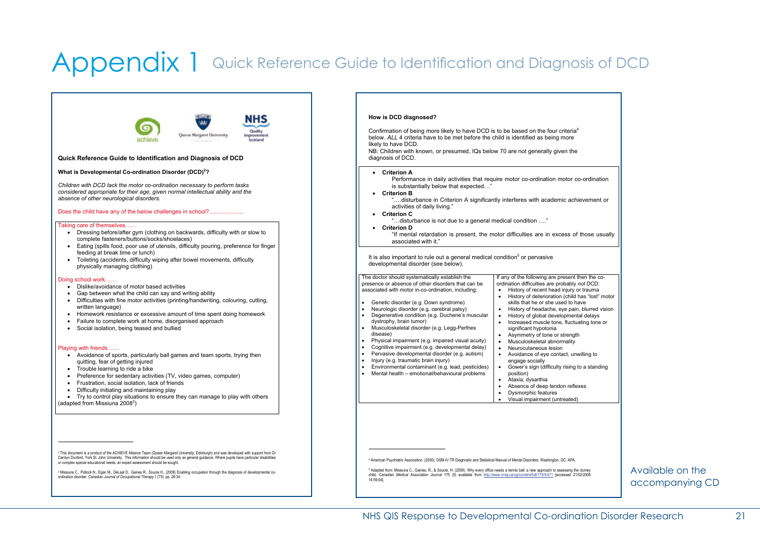## Appendix 1 Quick Reference Guide to Identification and Diagnosis of DCD



 $\overline{a}$ 

It is also important to rule out a general medical condition<sup>5</sup> or pervasive If any of the following are present then the coordination difficulties are probably *not* DCD: • History of recent head injury or trauma x History of deterioration (child has "lost" motor skills that he or she used to have • History of headache, eye pain, blurred vision<br>• History of global developmental delays History of global developmental delays Increased muscle tone, fluctuating tone or significant hypotonia  $\overrightarrow{a}$  Asymmetry of tone or strength • Musculoskeletal abnormality • Neurocutaneous lesion • Avoidance of eye contact, unwilling to engage socially Gower's sign (difficulty rising to a standing position) "…disturbance is not due to a general medical condition …." "If mental retardation is present, the motor difficulties are in excess of those usually

Ataxia, dysarthia

Absence of deep tendon reflexes Dysmorphic features x Visual impairment (untreated)

4 American Psychiatric Association. (2000). DSM-IV-TR Diagnostic and Statistical Manual of Mental Disorders. Washington, DC: APA.

child. *Canadian Medical Association Journal* 175 (5) available from http://www.cmaj.ca/cgi/content/full/175/5/471 [accessed 21/02/2008

Available on the accompanying CD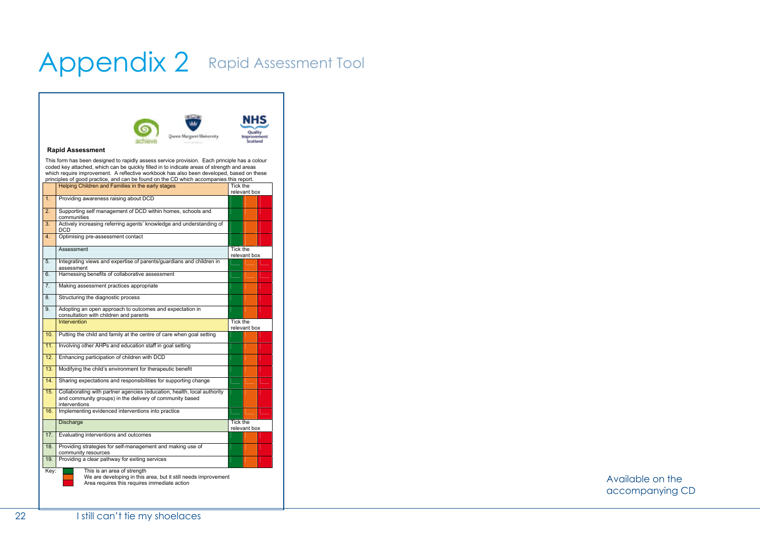## Appendix 2 Rapid Assessment Tool



|                   |                                                                                                                                                      |                          | <b>ICIC VAIIL DUX</b> |  |  |
|-------------------|------------------------------------------------------------------------------------------------------------------------------------------------------|--------------------------|-----------------------|--|--|
| $\overline{1}$ .  | Providing awareness raising about DCD                                                                                                                |                          |                       |  |  |
| $\overline{2}$ .  | Supporting self management of DCD within homes, schools and<br>communities                                                                           |                          |                       |  |  |
| $\overline{3}$ .  | Actively increasing referring agents' knowledge and understanding of<br>DCD                                                                          |                          |                       |  |  |
| 4.                | Optimising pre-assessment contact                                                                                                                    |                          |                       |  |  |
|                   | Assessment                                                                                                                                           | Tick the                 | relevant box          |  |  |
| 5.                | Integrating views and expertise of parents/guardians and children in<br>assessment                                                                   |                          |                       |  |  |
| 6.                | Harnessing benefits of collaborative assessment                                                                                                      |                          |                       |  |  |
| 7.                | Making assessment practices appropriate                                                                                                              |                          |                       |  |  |
| 8.                | Structuring the diagnostic process                                                                                                                   |                          |                       |  |  |
| 9.                | Adopting an open approach to outcomes and expectation in<br>consultation with children and parents                                                   |                          |                       |  |  |
|                   | <b>Intervention</b>                                                                                                                                  | Tick the<br>relevant box |                       |  |  |
| 10.               | Putting the child and family at the centre of care when goal setting                                                                                 |                          |                       |  |  |
| 11.               | Involving other AHPs and education staff in goal setting                                                                                             |                          |                       |  |  |
| 12.               | Enhancing participation of children with DCD                                                                                                         |                          |                       |  |  |
| 13.               | Modifying the child's environment for therapeutic benefit                                                                                            |                          |                       |  |  |
| 14.               | Sharing expectations and responsibilities for supporting change                                                                                      |                          |                       |  |  |
| 15.               | Collaborating with partner agencies (education, health, local authority<br>and community groups) in the delivery of community based<br>interventions |                          |                       |  |  |
| 16.               | Implementing evidenced interventions into practice                                                                                                   |                          |                       |  |  |
|                   | Discharge                                                                                                                                            | Tick the<br>relevant box |                       |  |  |
| $\overline{17}$ . | Evaluating interventions and outcomes                                                                                                                |                          |                       |  |  |
| 18.               | Providing strategies for self-management and making use of<br>community resources                                                                    |                          |                       |  |  |
| 19.               | Providing a clear pathway for exiting services                                                                                                       |                          |                       |  |  |
| Key:              | This is an area of strength<br>We are developing in this area, but it still needs improvement<br>Area requires this requires immediate action        |                          |                       |  |  |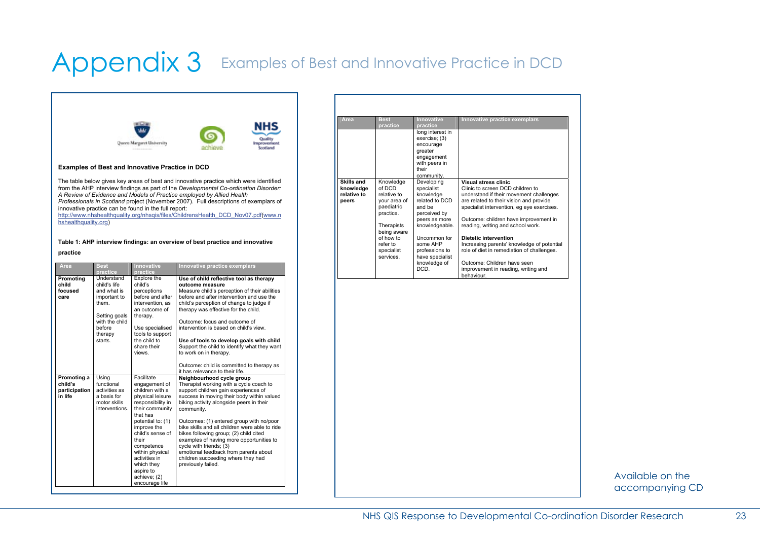## Appendix 3 Examples of Best and Innovative Practice in DCD



#### **Examples of Best and Innovative Practice in DCD**

The table below gives key areas of best and innovative practice which were identified from the AHP interview findings as part of the *Developmental Co-ordination Disorder: A Review of Evidence and Models of Practice employed by Allied Health Professionals in Scotland* project (November 2007). Full descriptions of exemplars of innovative practice can be found in the full report:

http://www.nhshealthquality.org/nhsqis/files/ChildrensHealth\_DCD\_Nov07.pdf(www.n hshealthquality.org)

#### **Table 1: AHP interview findings: an overview of best practice and innovative**

**practice** 

| Area                                               | <b>Best</b><br>practice                                                                                                               | <b>Innovative</b><br>practice                                                                                                                                                                                                                                                                          | Innovative practice exemplars                                                                                                                                                                                                                                                                                                                                                                                                                                                                                                                                                                                            |
|----------------------------------------------------|---------------------------------------------------------------------------------------------------------------------------------------|--------------------------------------------------------------------------------------------------------------------------------------------------------------------------------------------------------------------------------------------------------------------------------------------------------|--------------------------------------------------------------------------------------------------------------------------------------------------------------------------------------------------------------------------------------------------------------------------------------------------------------------------------------------------------------------------------------------------------------------------------------------------------------------------------------------------------------------------------------------------------------------------------------------------------------------------|
| Promoting<br>child<br>focused<br>care              | Understand<br>child's life<br>and what is<br>important to<br>them.<br>Setting goals<br>with the child<br>before<br>therapy<br>starts. | Explore the<br>child's<br>perceptions<br>before and after<br>intervention, as<br>an outcome of<br>therapy.<br>Use specialised<br>tools to support<br>the child to<br>share their<br>views.                                                                                                             | Use of child reflective tool as therapy<br>outcome measure<br>Measure child's perception of their abilities<br>before and after intervention and use the<br>child's perception of change to judge if<br>therapy was effective for the child.<br>Outcome: focus and outcome of<br>intervention is based on child's view.<br>Use of tools to develop goals with child<br>Support the child to identify what they want<br>to work on in therapy.                                                                                                                                                                            |
| Promoting a<br>child's<br>participation<br>in life | Using<br>functional<br>activities as<br>a basis for<br>motor skills<br>interventions.                                                 | Facilitate<br>engagement of<br>children with a<br>physical leisure<br>responsibility in<br>their community<br>that has<br>potential to: (1)<br>improve the<br>child's sense of<br>their<br>competence<br>within physical<br>activities in<br>which they<br>aspire to<br>achieve; (2)<br>encourage life | Outcome: child is committed to therapy as<br>it has relevance to their life.<br>Neighbourhood cycle group<br>Therapist working with a cycle coach to<br>support children gain experiences of<br>success in moving their body within valued<br>biking activity alongside peers in their<br>community.<br>Outcomes: (1) entered group with no/poor<br>bike skills and all children were able to ride<br>bikes following group; (2) child cited<br>examples of having more opportunities to<br>cycle with friends; (3)<br>emotional feedback from parents about<br>children succeeding where they had<br>previously failed. |

| Area                                            | <b>Best</b><br>practice                                                       | <b>Innovative</b><br>practice                                                                      | Innovative practice exemplars                                                                                                                                                                                                         |
|-------------------------------------------------|-------------------------------------------------------------------------------|----------------------------------------------------------------------------------------------------|---------------------------------------------------------------------------------------------------------------------------------------------------------------------------------------------------------------------------------------|
|                                                 |                                                                               | long interest in<br>exercise; (3)<br>encourage<br>greater<br>engagement<br>with peers in           |                                                                                                                                                                                                                                       |
|                                                 |                                                                               | their<br>community.                                                                                |                                                                                                                                                                                                                                       |
| Skills and<br>knowledae<br>relative to<br>peers | Knowledge<br>of DCD<br>relative to<br>your area of<br>paediatric<br>practice. | Developing<br>specialist<br>knowledge<br>related to DCD<br>and he<br>perceived by<br>peers as more | Visual stress clinic<br>Clinic to screen DCD children to<br>understand if their movement challenges<br>are related to their vision and provide<br>specialist intervention, eq eye exercises.<br>Outcome: children have improvement in |
|                                                 | Therapists<br>being aware<br>of how to<br>refer to<br>specialist              | knowledgeable.<br>Uncommon for<br>some AHP<br>professions to                                       | reading, writing and school work.<br>Dietetic intervention<br>Increasing parents' knowledge of potential<br>role of diet in remediation of challenges.                                                                                |
|                                                 | services.                                                                     | have specialist<br>knowledge of<br>DCD.                                                            | Outcome: Children have seen<br>improvement in reading, writing and<br>behaviour.                                                                                                                                                      |

Available on the accompanying CD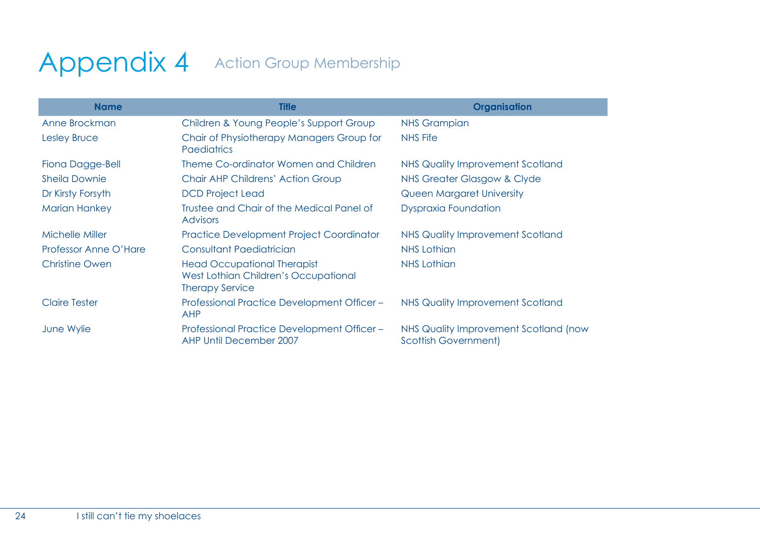## Appendix 4 Action Group Membership

| <b>Name</b>           | <b>Title</b>                                                                                         | Organisation                                                         |
|-----------------------|------------------------------------------------------------------------------------------------------|----------------------------------------------------------------------|
| Anne Brockman         | Children & Young People's Support Group                                                              | <b>NHS Grampian</b>                                                  |
| Lesley Bruce          | Chair of Physiotherapy Managers Group for<br><b>Paediatrics</b>                                      | NHS Fife                                                             |
| Fiona Dagge-Bell      | Theme Co-ordinator Women and Children                                                                | NHS Quality Improvement Scotland                                     |
| <b>Sheila Downie</b>  | Chair AHP Childrens' Action Group                                                                    | NHS Greater Glasgow & Clyde                                          |
| Dr Kirsty Forsyth     | <b>DCD Project Lead</b>                                                                              | <b>Queen Margaret University</b>                                     |
| <b>Marian Hankey</b>  | Trustee and Chair of the Medical Panel of<br><b>Advisors</b>                                         | <b>Dyspraxia Foundation</b>                                          |
| Michelle Miller       | <b>Practice Development Project Coordinator</b>                                                      | NHS Quality Improvement Scotland                                     |
| Professor Anne O'Hare | Consultant Paediatrician                                                                             | <b>NHS Lothian</b>                                                   |
| <b>Christine Owen</b> | <b>Head Occupational Therapist</b><br>West Lothian Children's Occupational<br><b>Therapy Service</b> | <b>NHS Lothian</b>                                                   |
| <b>Claire Tester</b>  | Professional Practice Development Officer-<br><b>AHP</b>                                             | <b>NHS Quality Improvement Scotland</b>                              |
| June Wylie            | Professional Practice Development Officer-<br><b>AHP Until December 2007</b>                         | NHS Quality Improvement Scotland (now<br><b>Scottish Government)</b> |